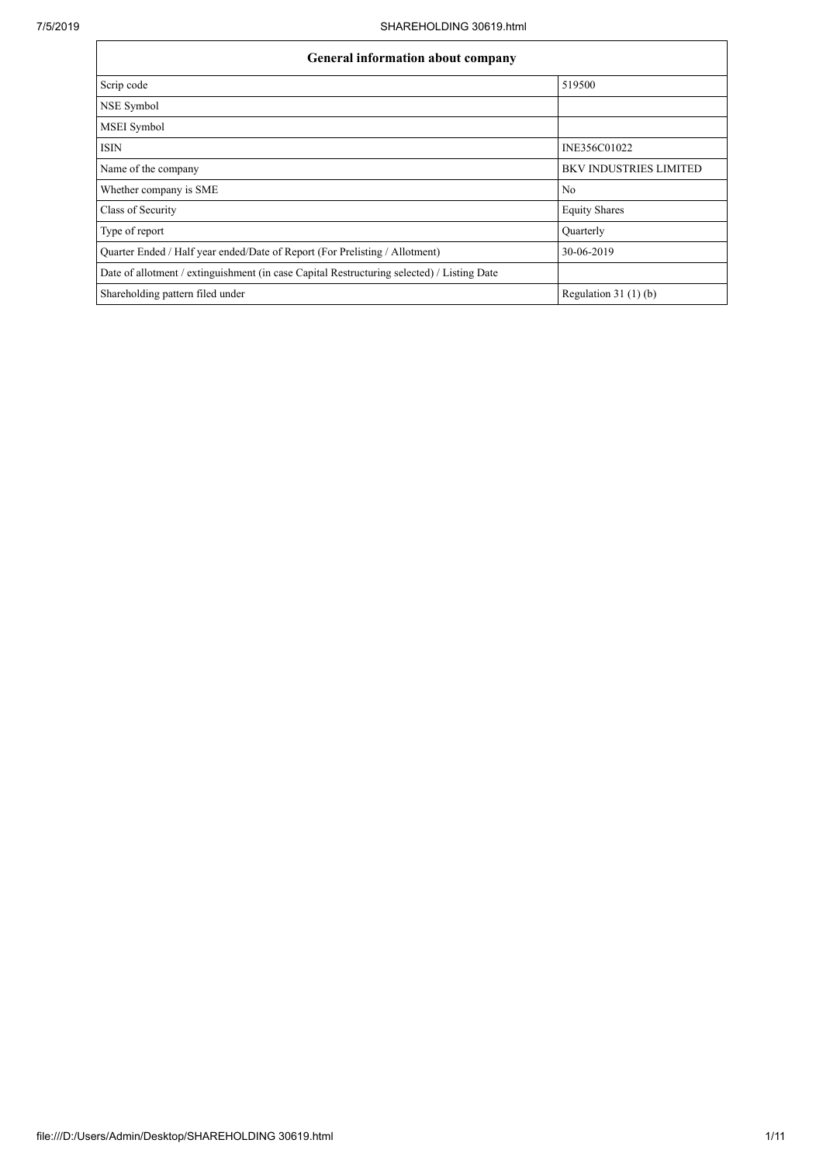| General information about company                                                          |                               |  |  |  |  |  |  |  |
|--------------------------------------------------------------------------------------------|-------------------------------|--|--|--|--|--|--|--|
| Scrip code                                                                                 | 519500                        |  |  |  |  |  |  |  |
| NSE Symbol                                                                                 |                               |  |  |  |  |  |  |  |
| <b>MSEI</b> Symbol                                                                         |                               |  |  |  |  |  |  |  |
| <b>ISIN</b>                                                                                | INE356C01022                  |  |  |  |  |  |  |  |
| Name of the company                                                                        | <b>BKV INDUSTRIES LIMITED</b> |  |  |  |  |  |  |  |
| Whether company is SME                                                                     | No                            |  |  |  |  |  |  |  |
| Class of Security                                                                          | <b>Equity Shares</b>          |  |  |  |  |  |  |  |
| Type of report                                                                             | Quarterly                     |  |  |  |  |  |  |  |
| Quarter Ended / Half year ended/Date of Report (For Prelisting / Allotment)                | 30-06-2019                    |  |  |  |  |  |  |  |
| Date of allotment / extinguishment (in case Capital Restructuring selected) / Listing Date |                               |  |  |  |  |  |  |  |
| Shareholding pattern filed under                                                           | Regulation $31(1)(b)$         |  |  |  |  |  |  |  |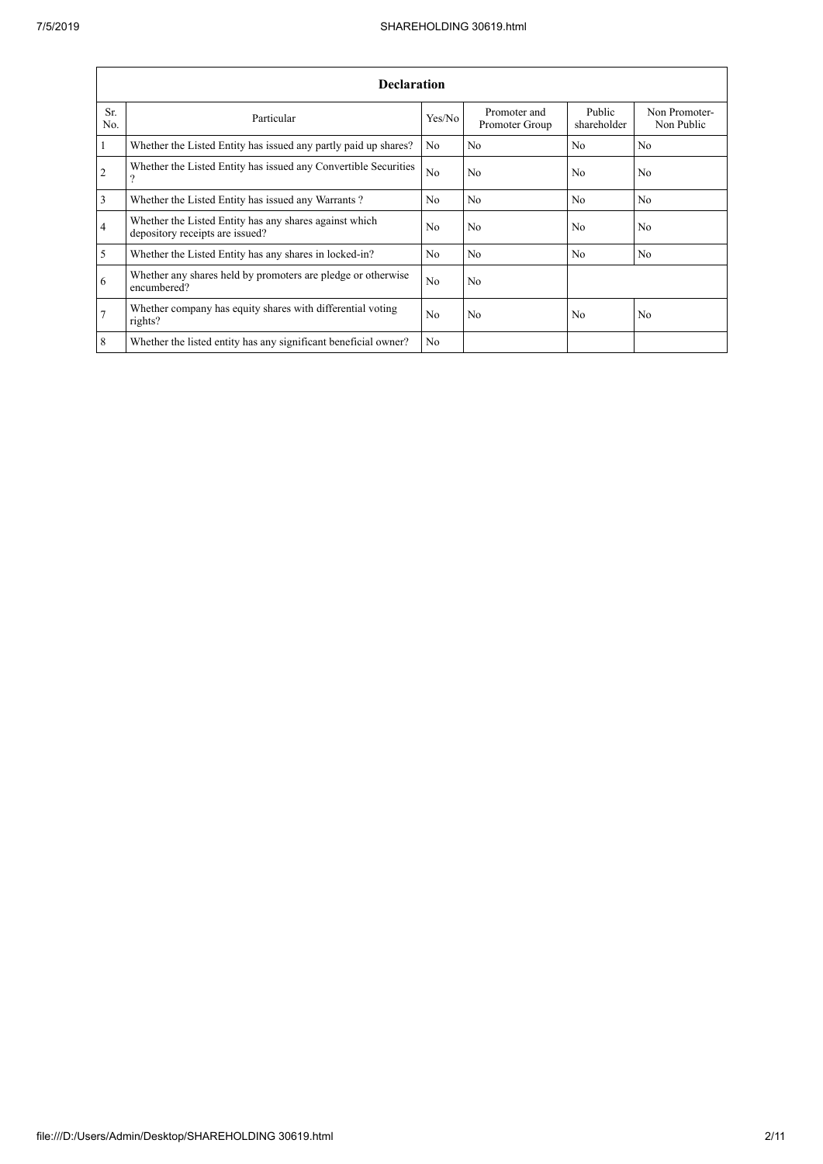÷

|                 | <b>Declaration</b>                                                                        |                |                                |                       |                             |  |  |  |  |  |  |
|-----------------|-------------------------------------------------------------------------------------------|----------------|--------------------------------|-----------------------|-----------------------------|--|--|--|--|--|--|
| Sr.<br>No.      | Particular                                                                                | Yes/No         | Promoter and<br>Promoter Group | Public<br>shareholder | Non Promoter-<br>Non Public |  |  |  |  |  |  |
| $\vert$ 1       | Whether the Listed Entity has issued any partly paid up shares?                           | No             | N <sub>0</sub>                 | N <sub>0</sub>        | N <sub>0</sub>              |  |  |  |  |  |  |
| $\overline{2}$  | Whether the Listed Entity has issued any Convertible Securities<br>$\overline{?}$         | N <sub>o</sub> | No                             | No                    | N <sub>o</sub>              |  |  |  |  |  |  |
| $\overline{3}$  | Whether the Listed Entity has issued any Warrants?                                        | N <sub>0</sub> | No.                            | No                    | N <sub>0</sub>              |  |  |  |  |  |  |
| $\overline{4}$  | Whether the Listed Entity has any shares against which<br>depository receipts are issued? | No.            | No                             | No                    | N <sub>o</sub>              |  |  |  |  |  |  |
| $\overline{5}$  | Whether the Listed Entity has any shares in locked-in?                                    | No.            | No                             | No                    | N <sub>o</sub>              |  |  |  |  |  |  |
| 6               | Whether any shares held by promoters are pledge or otherwise<br>encumbered?               | N <sub>0</sub> | No                             |                       |                             |  |  |  |  |  |  |
| $\overline{7}$  | Whether company has equity shares with differential voting<br>rights?                     | N <sub>0</sub> | No                             | No                    | N <sub>o</sub>              |  |  |  |  |  |  |
| $8\phantom{.}8$ | Whether the listed entity has any significant beneficial owner?                           | N <sub>o</sub> |                                |                       |                             |  |  |  |  |  |  |

÷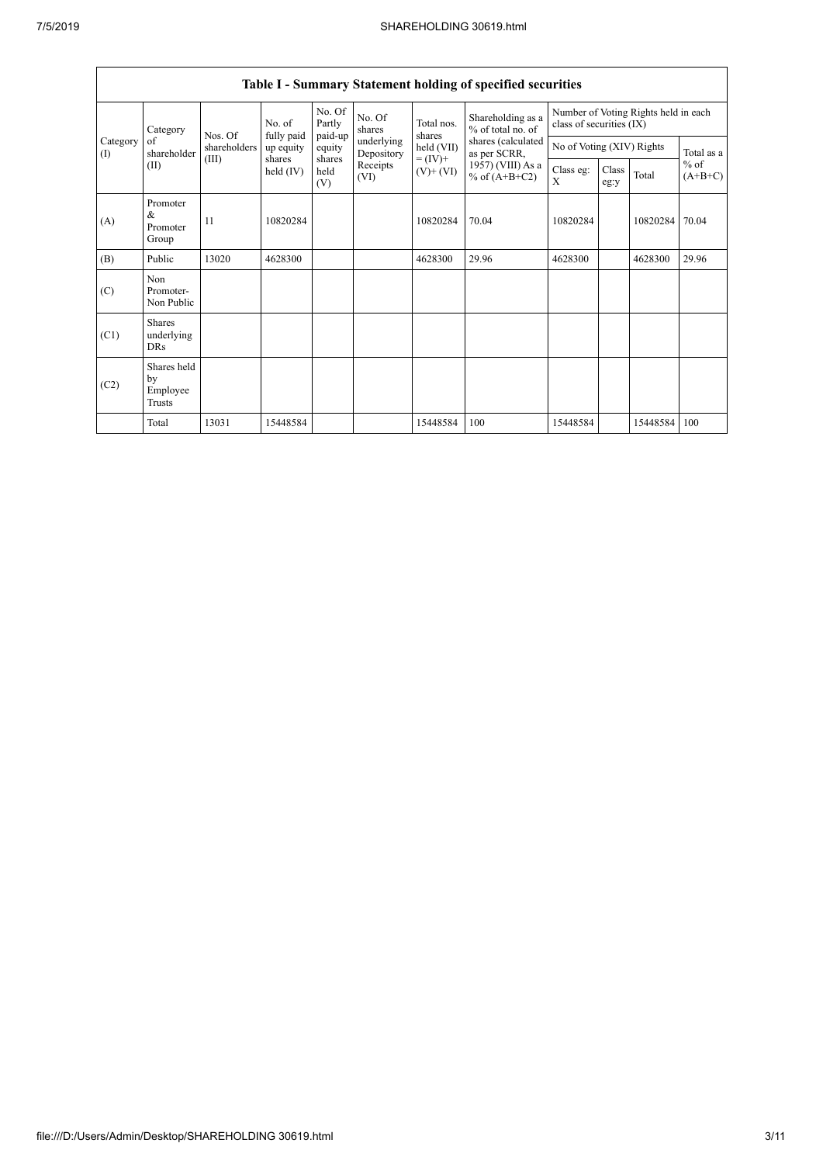|                 | Table I - Summary Statement holding of specified securities |                                                                                                           |                                      |                   |                          |                      |                                        |                                                                  |  |          |            |
|-----------------|-------------------------------------------------------------|-----------------------------------------------------------------------------------------------------------|--------------------------------------|-------------------|--------------------------|----------------------|----------------------------------------|------------------------------------------------------------------|--|----------|------------|
| Category        |                                                             | Nos. Of                                                                                                   | No. of                               | No. Of<br>Partly  | No. Of<br>shares         | Total nos.<br>shares | Shareholding as a<br>% of total no. of | Number of Voting Rights held in each<br>class of securities (IX) |  |          |            |
| Category<br>(1) | of<br>shareholder                                           | shareholders                                                                                              | fully paid<br>up equity              | paid-up<br>equity | underlying<br>Depository | held (VII)           | shares (calculated<br>as per SCRR,     | No of Voting (XIV) Rights                                        |  |          | Total as a |
|                 | (II)                                                        | $= (IV) +$<br>shares<br>shares<br>(III)<br>Receipts<br>held (IV)<br>held<br>$(V)$ + $(VI)$<br>(VI)<br>(V) | 1957) (VIII) As a<br>% of $(A+B+C2)$ | Class eg:<br>X    | Class<br>eg:y            | Total                | $%$ of<br>$(A+B+C)$                    |                                                                  |  |          |            |
| (A)             | Promoter<br>$\&$<br>Promoter<br>Group                       | 11                                                                                                        | 10820284                             |                   |                          | 10820284             | 70.04                                  | 10820284                                                         |  | 10820284 | 70.04      |
| (B)             | Public                                                      | 13020                                                                                                     | 4628300                              |                   |                          | 4628300              | 29.96                                  | 4628300                                                          |  | 4628300  | 29.96      |
| (C)             | Non<br>Promoter-<br>Non Public                              |                                                                                                           |                                      |                   |                          |                      |                                        |                                                                  |  |          |            |
| (C1)            | <b>Shares</b><br>underlying<br><b>DRs</b>                   |                                                                                                           |                                      |                   |                          |                      |                                        |                                                                  |  |          |            |
| (C2)            | Shares held<br>by<br>Employee<br>Trusts                     |                                                                                                           |                                      |                   |                          |                      |                                        |                                                                  |  |          |            |
|                 | Total                                                       | 13031                                                                                                     | 15448584                             |                   |                          | 15448584             | 100                                    | 15448584                                                         |  | 15448584 | 100        |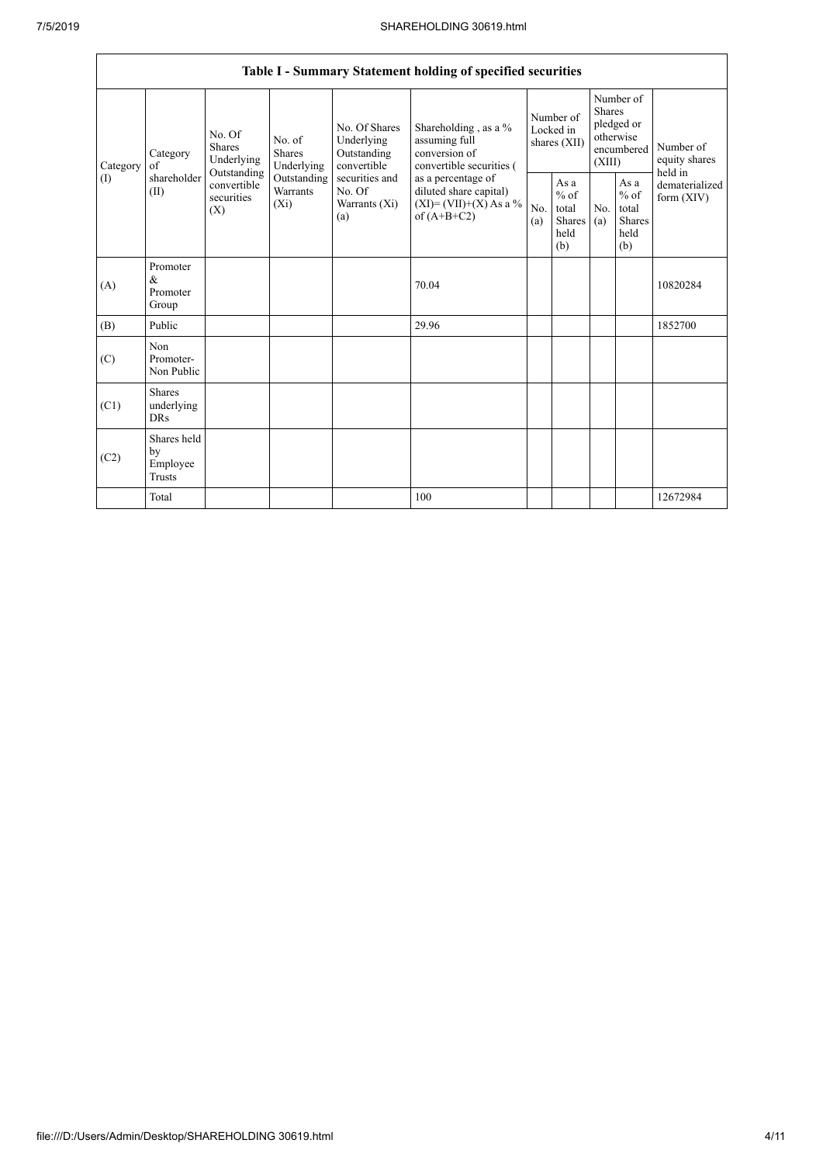|                                        | Table I - Summary Statement holding of specified securities |                                                                                          |                                                                             |                                                                                                               |                                                                                                                                                                                  |                                        |                                                  |                                                                               |                                                                    |                                       |  |
|----------------------------------------|-------------------------------------------------------------|------------------------------------------------------------------------------------------|-----------------------------------------------------------------------------|---------------------------------------------------------------------------------------------------------------|----------------------------------------------------------------------------------------------------------------------------------------------------------------------------------|----------------------------------------|--------------------------------------------------|-------------------------------------------------------------------------------|--------------------------------------------------------------------|---------------------------------------|--|
| Category<br>of<br>$($ $\Gamma$<br>(II) | Category                                                    | No. Of<br><b>Shares</b><br>Underlying<br>Outstanding<br>convertible<br>securities<br>(X) | No. of<br><b>Shares</b><br>Underlying<br>Outstanding<br>Warrants<br>$(X_i)$ | No. Of Shares<br>Underlying<br>Outstanding<br>convertible<br>securities and<br>No. Of<br>Warrants (Xi)<br>(a) | Shareholding, as a %<br>assuming full<br>conversion of<br>convertible securities (<br>as a percentage of<br>diluted share capital)<br>$(XI) = (VII)+(X) As a %$<br>of $(A+B+C2)$ | Number of<br>Locked in<br>shares (XII) |                                                  | Number of<br><b>Shares</b><br>pledged or<br>otherwise<br>encumbered<br>(XIII) |                                                                    | Number of<br>equity shares<br>held in |  |
|                                        | shareholder                                                 |                                                                                          |                                                                             |                                                                                                               |                                                                                                                                                                                  | No.<br>(a)                             | As a<br>$%$ of<br>total<br>Shares<br>held<br>(b) | No.<br>(a)                                                                    | As $\mathbf{a}$<br>$%$ of<br>total<br><b>Shares</b><br>held<br>(b) | dematerialized<br>form $(XIV)$        |  |
| (A)                                    | Promoter<br>$\&$<br>Promoter<br>Group                       |                                                                                          |                                                                             |                                                                                                               | 70.04                                                                                                                                                                            |                                        |                                                  |                                                                               |                                                                    | 10820284                              |  |
| (B)                                    | Public                                                      |                                                                                          |                                                                             |                                                                                                               | 29.96                                                                                                                                                                            |                                        |                                                  |                                                                               |                                                                    | 1852700                               |  |
| (C)                                    | Non<br>Promoter-<br>Non Public                              |                                                                                          |                                                                             |                                                                                                               |                                                                                                                                                                                  |                                        |                                                  |                                                                               |                                                                    |                                       |  |
| (C1)                                   | Shares<br>underlying<br><b>DRs</b>                          |                                                                                          |                                                                             |                                                                                                               |                                                                                                                                                                                  |                                        |                                                  |                                                                               |                                                                    |                                       |  |
| (C2)                                   | Shares held<br>by<br>Employee<br><b>Trusts</b>              |                                                                                          |                                                                             |                                                                                                               |                                                                                                                                                                                  |                                        |                                                  |                                                                               |                                                                    |                                       |  |
|                                        | Total                                                       |                                                                                          |                                                                             |                                                                                                               | 100                                                                                                                                                                              |                                        |                                                  |                                                                               |                                                                    | 12672984                              |  |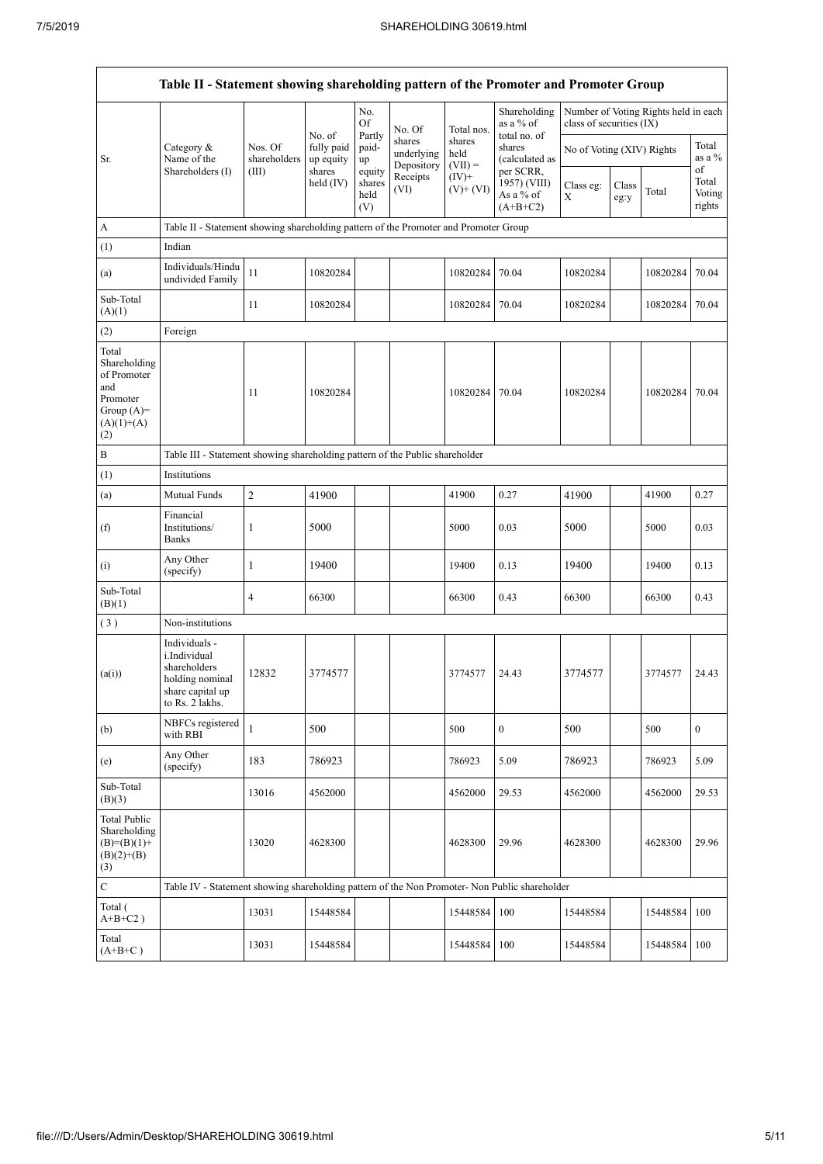$\overline{1}$ 

| Table II - Statement showing shareholding pattern of the Promoter and Promoter Group           |                                                                                                         |                                  |                                                          |                                 |                                    |                             |                                                      |                           |               |                                      |                           |
|------------------------------------------------------------------------------------------------|---------------------------------------------------------------------------------------------------------|----------------------------------|----------------------------------------------------------|---------------------------------|------------------------------------|-----------------------------|------------------------------------------------------|---------------------------|---------------|--------------------------------------|---------------------------|
|                                                                                                |                                                                                                         |                                  |                                                          | No.<br>Of                       | No. Of                             | Total nos.                  | Shareholding<br>as a % of                            | class of securities (IX)  |               | Number of Voting Rights held in each |                           |
| Sr.                                                                                            | Category &<br>Name of the                                                                               | Nos. Of<br>shareholders<br>(III) | No. of<br>fully paid<br>up equity<br>shares<br>held (IV) | Partly<br>paid-<br>up           | shares<br>underlying<br>Depository | shares<br>held<br>$(VII) =$ | total no. of<br>shares<br>(calculated as             | No of Voting (XIV) Rights |               |                                      | Total<br>as a %<br>of     |
|                                                                                                | Shareholders (I)                                                                                        |                                  |                                                          | equity<br>shares<br>held<br>(V) | Receipts<br>(VI)                   | $(IV)$ +<br>$(V)$ + $(VI)$  | per SCRR,<br>1957) (VIII)<br>As a % of<br>$(A+B+C2)$ | Class eg:<br>X            | Class<br>eg:y | Total                                | Total<br>Voting<br>rights |
| $\boldsymbol{\rm{A}}$                                                                          | Table II - Statement showing shareholding pattern of the Promoter and Promoter Group                    |                                  |                                                          |                                 |                                    |                             |                                                      |                           |               |                                      |                           |
| (1)                                                                                            | Indian                                                                                                  |                                  |                                                          |                                 |                                    |                             |                                                      |                           |               |                                      |                           |
| (a)                                                                                            | Individuals/Hindu<br>undivided Family                                                                   | 11                               | 10820284                                                 |                                 |                                    | 10820284                    | 70.04                                                | 10820284                  |               | 10820284                             | 70.04                     |
| Sub-Total<br>(A)(1)                                                                            |                                                                                                         | 11                               | 10820284                                                 |                                 |                                    | 10820284                    | 70.04                                                | 10820284                  |               | 10820284                             | 70.04                     |
| (2)                                                                                            | Foreign                                                                                                 |                                  |                                                          |                                 |                                    |                             |                                                      |                           |               |                                      |                           |
| Total<br>Shareholding<br>of Promoter<br>and<br>Promoter<br>Group $(A)=$<br>$(A)(1)+(A)$<br>(2) |                                                                                                         | 11                               | 10820284                                                 |                                 |                                    | 10820284                    | 70.04                                                | 10820284                  |               | 10820284                             | 70.04                     |
| $\, {\bf B}$                                                                                   | Table III - Statement showing shareholding pattern of the Public shareholder                            |                                  |                                                          |                                 |                                    |                             |                                                      |                           |               |                                      |                           |
| (1)                                                                                            | Institutions                                                                                            |                                  |                                                          |                                 |                                    |                             |                                                      |                           |               |                                      |                           |
| (a)                                                                                            | Mutual Funds                                                                                            | $\overline{2}$                   | 41900                                                    |                                 |                                    | 41900                       | 0.27                                                 | 41900                     |               | 41900                                | 0.27                      |
| (f)                                                                                            | Financial<br>Institutions/<br><b>Banks</b>                                                              | 1                                | 5000                                                     |                                 |                                    | 5000                        | 0.03                                                 | 5000                      |               | 5000                                 | 0.03                      |
| (i)                                                                                            | Any Other<br>(specify)                                                                                  | $\mathbf{1}$                     | 19400                                                    |                                 |                                    | 19400                       | 0.13                                                 | 19400                     |               | 19400                                | 0.13                      |
| Sub-Total<br>(B)(1)                                                                            |                                                                                                         | 4                                | 66300                                                    |                                 |                                    | 66300                       | 0.43                                                 | 66300                     |               | 66300                                | 0.43                      |
| (3)                                                                                            | Non-institutions                                                                                        |                                  |                                                          |                                 |                                    |                             |                                                      |                           |               |                                      |                           |
| (a(i))                                                                                         | Individuals -<br>i.Individual<br>shareholders<br>holding nominal<br>share capital up<br>to Rs. 2 lakhs. | 12832                            | 3774577                                                  |                                 |                                    | 3774577                     | 24.43                                                | 3774577                   |               | 3774577                              | 24.43                     |
| (b)                                                                                            | NBFCs registered<br>with RBI                                                                            | $\mathbf{1}$                     | 500                                                      |                                 |                                    | 500                         | $\boldsymbol{0}$                                     | 500                       |               | 500                                  | $\overline{0}$            |
| (e)                                                                                            | Any Other<br>(specify)                                                                                  | 183                              | 786923                                                   |                                 |                                    | 786923                      | 5.09                                                 | 786923                    |               | 786923                               | 5.09                      |
| Sub-Total<br>(B)(3)                                                                            |                                                                                                         | 13016                            | 4562000                                                  |                                 |                                    | 4562000                     | 29.53                                                | 4562000                   |               | 4562000                              | 29.53                     |
| <b>Total Public</b><br>Shareholding<br>$(B)=(B)(1)+$<br>$(B)(2)+(B)$<br>(3)                    |                                                                                                         | 13020                            | 4628300                                                  |                                 |                                    | 4628300                     | 29.96                                                | 4628300                   |               | 4628300                              | 29.96                     |
| $\mathbf C$                                                                                    | Table IV - Statement showing shareholding pattern of the Non Promoter- Non Public shareholder           |                                  |                                                          |                                 |                                    |                             |                                                      |                           |               |                                      |                           |
| Total (<br>$A+B+C2$ )                                                                          |                                                                                                         | 13031                            | 15448584                                                 |                                 |                                    | 15448584                    | 100                                                  | 15448584                  |               | 15448584                             | 100                       |
| Total<br>$(A+B+C)$                                                                             |                                                                                                         | 13031                            | 15448584                                                 |                                 |                                    | 15448584                    | 100                                                  | 15448584                  |               | 15448584                             | 100                       |

 $\overline{\phantom{a}}$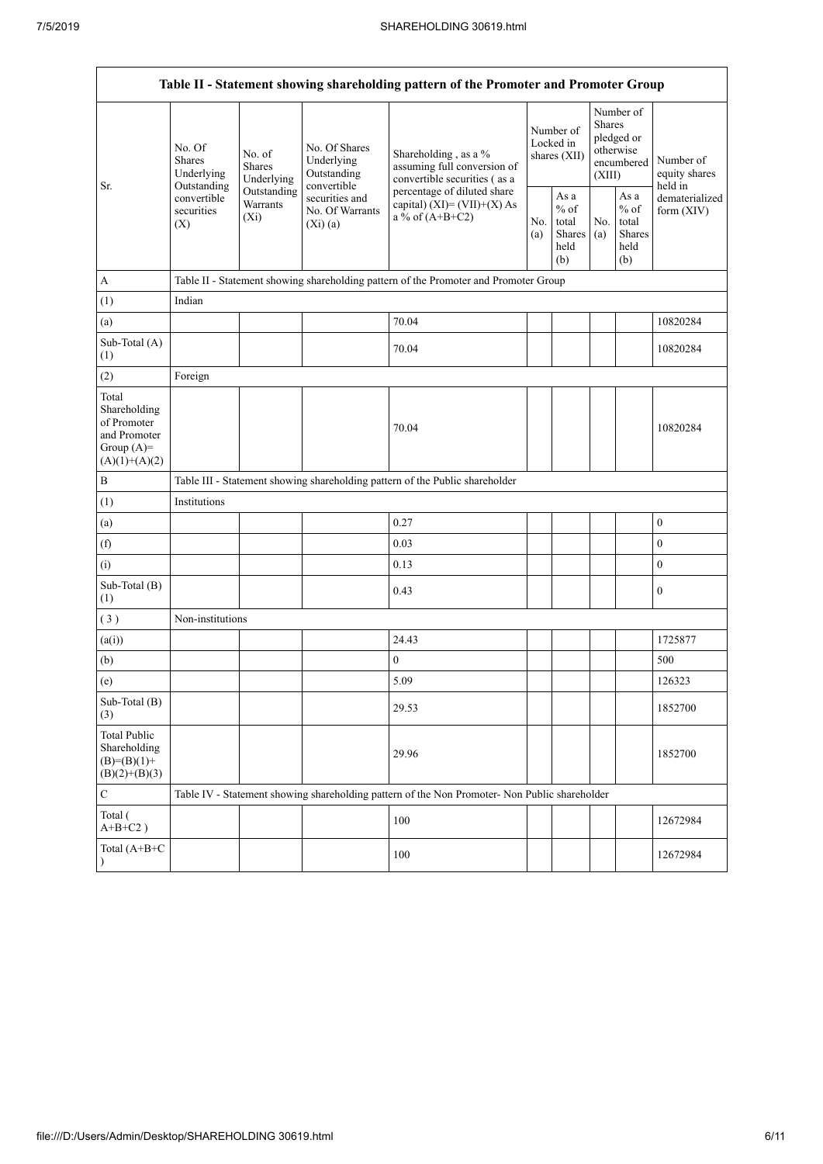| Table II - Statement showing shareholding pattern of the Promoter and Promoter Group    |                                                                                 |                                    |                                                           |                                                                                                                                                                           |  |                                                  |            |                                                                        |                                       |
|-----------------------------------------------------------------------------------------|---------------------------------------------------------------------------------|------------------------------------|-----------------------------------------------------------|---------------------------------------------------------------------------------------------------------------------------------------------------------------------------|--|--------------------------------------------------|------------|------------------------------------------------------------------------|---------------------------------------|
| Sr.                                                                                     | No. Of<br>No. of<br><b>Shares</b><br><b>Shares</b><br>Underlying<br>Outstanding | Underlying                         | No. Of Shares<br>Underlying<br>Outstanding<br>convertible | Shareholding, as a %<br>assuming full conversion of<br>convertible securities (as a<br>percentage of diluted share<br>capital) $(XI) = (VII)+(X) As$<br>a % of $(A+B+C2)$ |  | Number of<br>Locked in<br>shares (XII)           |            | Number of<br>Shares<br>pledged or<br>otherwise<br>encumbered<br>(XIII) | Number of<br>equity shares<br>held in |
|                                                                                         | convertible<br>securities<br>(X)                                                | Outstanding<br>Warrants<br>$(X_i)$ | securities and<br>No. Of Warrants<br>(Xi)(a)              |                                                                                                                                                                           |  | As a<br>$%$ of<br>total<br>Shares<br>held<br>(b) | No.<br>(a) | As $\mathbf a$<br>$%$ of<br>total<br><b>Shares</b><br>held<br>(b)      | dematerialized<br>form (XIV)          |
| A                                                                                       |                                                                                 |                                    |                                                           | Table II - Statement showing shareholding pattern of the Promoter and Promoter Group                                                                                      |  |                                                  |            |                                                                        |                                       |
| (1)                                                                                     | Indian                                                                          |                                    |                                                           |                                                                                                                                                                           |  |                                                  |            |                                                                        |                                       |
| (a)                                                                                     |                                                                                 |                                    |                                                           | 70.04                                                                                                                                                                     |  |                                                  |            |                                                                        | 10820284                              |
| Sub-Total (A)<br>(1)                                                                    |                                                                                 |                                    |                                                           | 70.04                                                                                                                                                                     |  |                                                  |            |                                                                        | 10820284                              |
| (2)                                                                                     | Foreign                                                                         |                                    |                                                           |                                                                                                                                                                           |  |                                                  |            |                                                                        |                                       |
| Total<br>Shareholding<br>of Promoter<br>and Promoter<br>Group $(A)=$<br>$(A)(1)+(A)(2)$ |                                                                                 |                                    |                                                           | 70.04                                                                                                                                                                     |  |                                                  |            |                                                                        | 10820284                              |
| $\, {\bf B}$                                                                            |                                                                                 |                                    |                                                           | Table III - Statement showing shareholding pattern of the Public shareholder                                                                                              |  |                                                  |            |                                                                        |                                       |
| (1)                                                                                     | Institutions                                                                    |                                    |                                                           |                                                                                                                                                                           |  |                                                  |            |                                                                        |                                       |
| (a)                                                                                     |                                                                                 |                                    |                                                           | 0.27                                                                                                                                                                      |  |                                                  |            |                                                                        | $\boldsymbol{0}$                      |
| (f)                                                                                     |                                                                                 |                                    |                                                           | 0.03                                                                                                                                                                      |  |                                                  |            |                                                                        | $\boldsymbol{0}$                      |
| (i)                                                                                     |                                                                                 |                                    |                                                           | 0.13                                                                                                                                                                      |  |                                                  |            |                                                                        | $\boldsymbol{0}$                      |
| Sub-Total (B)<br>(1)                                                                    |                                                                                 |                                    |                                                           | 0.43                                                                                                                                                                      |  |                                                  |            |                                                                        | $\boldsymbol{0}$                      |
| (3)                                                                                     | Non-institutions                                                                |                                    |                                                           |                                                                                                                                                                           |  |                                                  |            |                                                                        |                                       |
| (a(i))                                                                                  |                                                                                 |                                    |                                                           | 24.43                                                                                                                                                                     |  |                                                  |            |                                                                        | 1725877                               |
| (b)                                                                                     |                                                                                 |                                    |                                                           | $\boldsymbol{0}$                                                                                                                                                          |  |                                                  |            |                                                                        | 500                                   |
| (e)                                                                                     |                                                                                 |                                    |                                                           | 5.09                                                                                                                                                                      |  |                                                  |            |                                                                        | 126323                                |
| Sub-Total (B)<br>(3)                                                                    |                                                                                 |                                    |                                                           | 29.53                                                                                                                                                                     |  |                                                  |            |                                                                        | 1852700                               |
| <b>Total Public</b><br>Shareholding<br>$(B)= (B)(1) +$<br>$(B)(2)+(B)(3)$               |                                                                                 |                                    |                                                           | 29.96                                                                                                                                                                     |  |                                                  |            |                                                                        | 1852700                               |
| $\mathbf C$                                                                             |                                                                                 |                                    |                                                           | Table IV - Statement showing shareholding pattern of the Non Promoter- Non Public shareholder                                                                             |  |                                                  |            |                                                                        |                                       |
| Total (<br>$A+B+C2$ )                                                                   |                                                                                 |                                    |                                                           | 100                                                                                                                                                                       |  |                                                  |            |                                                                        | 12672984                              |
| Total (A+B+C                                                                            |                                                                                 |                                    |                                                           | 100                                                                                                                                                                       |  |                                                  |            |                                                                        | 12672984                              |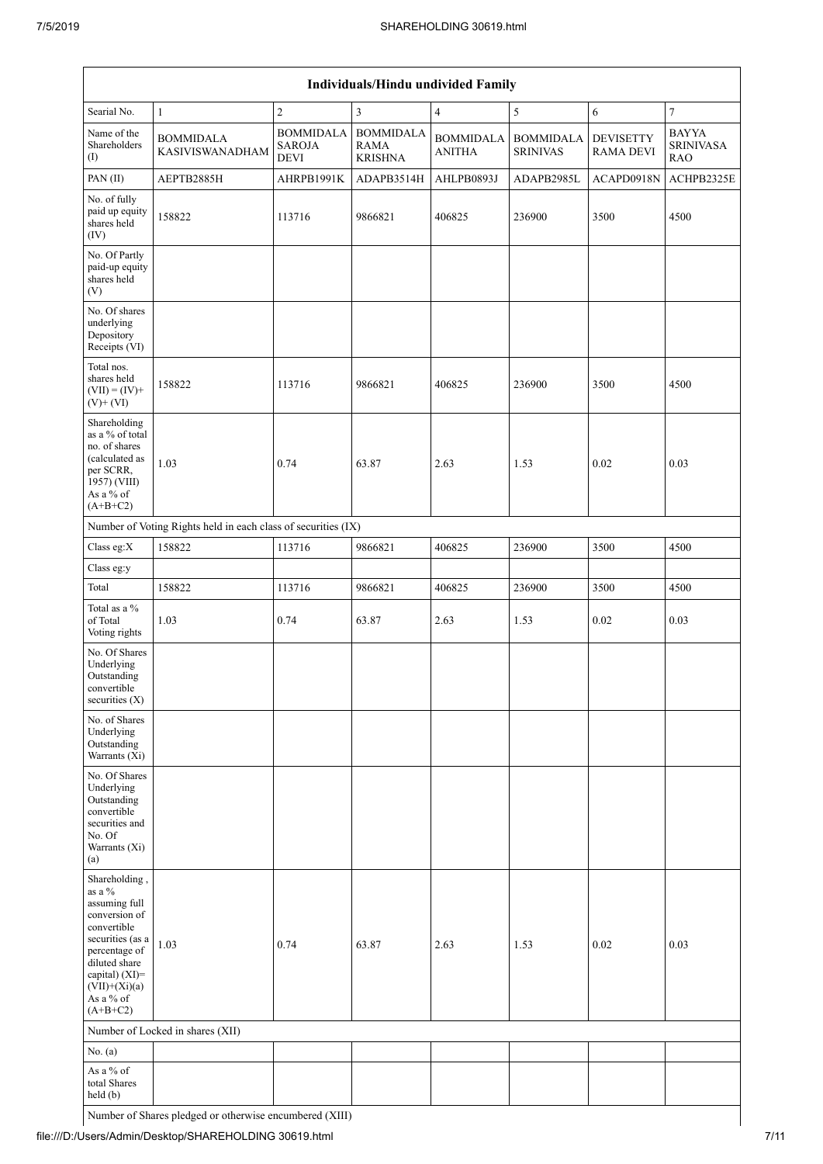| Individuals/Hindu undivided Family                                                                                                                                                             |                                                               |                                                  |                                                   |                                   |                                     |                                      |                                                |  |  |
|------------------------------------------------------------------------------------------------------------------------------------------------------------------------------------------------|---------------------------------------------------------------|--------------------------------------------------|---------------------------------------------------|-----------------------------------|-------------------------------------|--------------------------------------|------------------------------------------------|--|--|
| Searial No.                                                                                                                                                                                    | $\mathbf{1}$                                                  | $\overline{2}$                                   | 3                                                 | $\overline{4}$                    | $\sqrt{5}$                          | 6                                    | $\tau$                                         |  |  |
| Name of the<br>Shareholders<br>(1)                                                                                                                                                             | <b>BOMMIDALA</b><br><b>KASIVISWANADHAM</b>                    | <b>BOMMIDALA</b><br><b>SAROJA</b><br><b>DEVI</b> | <b>BOMMIDALA</b><br><b>RAMA</b><br><b>KRISHNA</b> | <b>BOMMIDALA</b><br><b>ANITHA</b> | <b>BOMMIDALA</b><br><b>SRINIVAS</b> | <b>DEVISETTY</b><br><b>RAMA DEVI</b> | <b>BAYYA</b><br><b>SRINIVASA</b><br><b>RAO</b> |  |  |
| PAN(II)                                                                                                                                                                                        | AEPTB2885H                                                    | AHRPB1991K                                       | ADAPB3514H                                        | AHLPB0893J                        | ADAPB2985L                          | ACAPD0918N                           | ACHPB2325E                                     |  |  |
| No. of fully<br>paid up equity<br>shares held<br>(IV)                                                                                                                                          | 158822                                                        | 113716                                           | 9866821                                           | 406825                            | 236900                              | 3500                                 | 4500                                           |  |  |
| No. Of Partly<br>paid-up equity<br>shares held<br>(V)                                                                                                                                          |                                                               |                                                  |                                                   |                                   |                                     |                                      |                                                |  |  |
| No. Of shares<br>underlying<br>Depository<br>Receipts (VI)                                                                                                                                     |                                                               |                                                  |                                                   |                                   |                                     |                                      |                                                |  |  |
| Total nos.<br>shares held<br>$(VII) = (IV) +$<br>$(V)$ + $(VI)$                                                                                                                                | 158822                                                        | 113716                                           | 9866821                                           | 406825                            | 236900                              | 3500                                 | 4500                                           |  |  |
| Shareholding<br>as a % of total<br>no. of shares<br>(calculated as<br>per SCRR,<br>1957) (VIII)<br>As a % of<br>$(A+B+C2)$                                                                     | 1.03                                                          | 0.74                                             | 63.87                                             | 2.63                              | 1.53                                | 0.02                                 | 0.03                                           |  |  |
|                                                                                                                                                                                                | Number of Voting Rights held in each class of securities (IX) |                                                  |                                                   |                                   |                                     |                                      |                                                |  |  |
| Class eg:X                                                                                                                                                                                     | 158822                                                        | 113716                                           | 9866821                                           | 406825                            | 236900                              | 3500                                 | 4500                                           |  |  |
| Class eg:y                                                                                                                                                                                     |                                                               |                                                  |                                                   |                                   |                                     |                                      |                                                |  |  |
| Total                                                                                                                                                                                          | 158822                                                        | 113716                                           | 9866821                                           | 406825                            | 236900                              | 3500                                 | 4500                                           |  |  |
| Total as a %<br>of Total<br>Voting rights                                                                                                                                                      | 1.03                                                          | 0.74                                             | 63.87                                             | 2.63                              | 1.53                                | 0.02                                 | 0.03                                           |  |  |
| No. Of Shares<br>Underlying<br>Outstanding<br>convertible<br>securities (X)                                                                                                                    |                                                               |                                                  |                                                   |                                   |                                     |                                      |                                                |  |  |
| No. of Shares<br>Underlying<br>Outstanding<br>Warrants (Xi)                                                                                                                                    |                                                               |                                                  |                                                   |                                   |                                     |                                      |                                                |  |  |
| No. Of Shares<br>Underlying<br>Outstanding<br>convertible<br>securities and<br>No. Of<br>Warrants (Xi)<br>(a)                                                                                  |                                                               |                                                  |                                                   |                                   |                                     |                                      |                                                |  |  |
| Shareholding,<br>as a %<br>assuming full<br>conversion of<br>convertible<br>securities (as a<br>percentage of<br>diluted share<br>capital) (XI)=<br>$(VII)+(Xi)(a)$<br>As a % of<br>$(A+B+C2)$ | 1.03                                                          | 0.74                                             | 63.87                                             | 2.63                              | 1.53                                | 0.02                                 | 0.03                                           |  |  |
|                                                                                                                                                                                                | Number of Locked in shares (XII)                              |                                                  |                                                   |                                   |                                     |                                      |                                                |  |  |
| No. (a)                                                                                                                                                                                        |                                                               |                                                  |                                                   |                                   |                                     |                                      |                                                |  |  |
| As a % of<br>total Shares<br>held (b)                                                                                                                                                          |                                                               |                                                  |                                                   |                                   |                                     |                                      |                                                |  |  |

Number of Shares pledged or otherwise encumbered (XIII)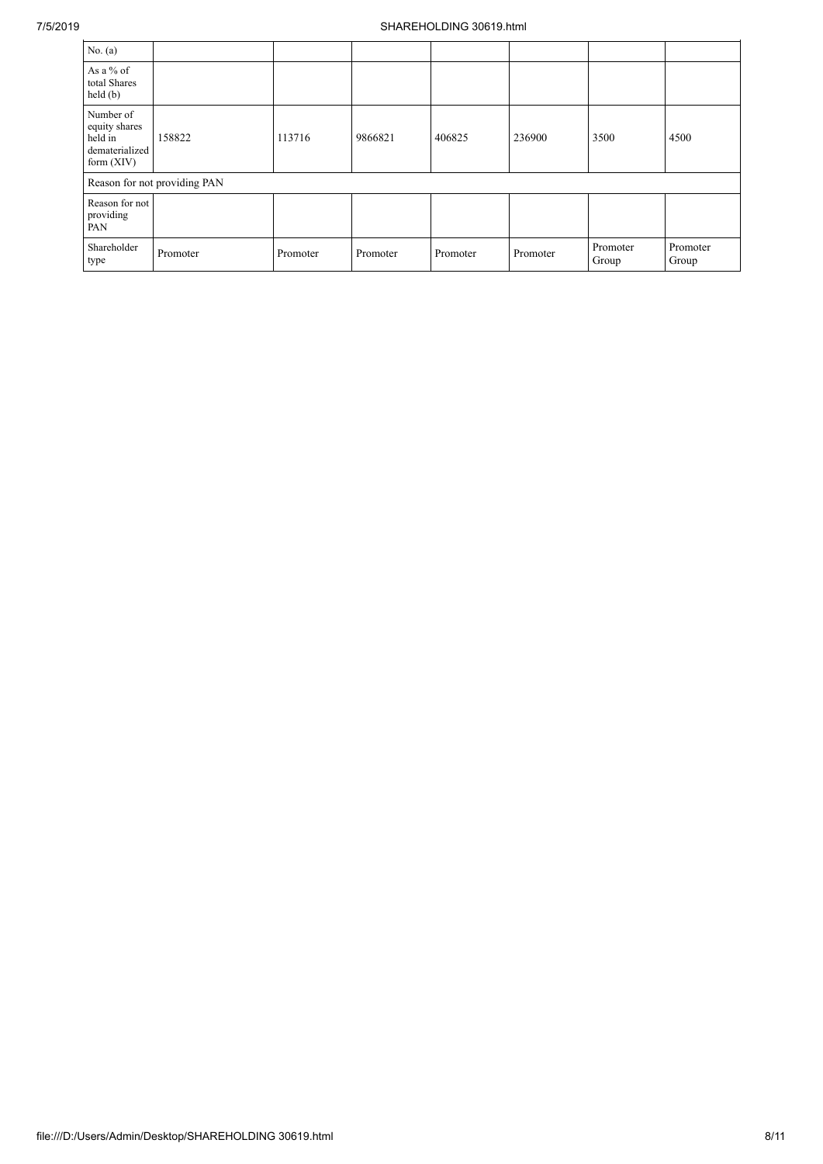| No. $(a)$                                                               |                              |          |          |          |          |                   |                   |
|-------------------------------------------------------------------------|------------------------------|----------|----------|----------|----------|-------------------|-------------------|
| As a $%$ of<br>total Shares<br>held(b)                                  |                              |          |          |          |          |                   |                   |
| Number of<br>equity shares<br>held in<br>dematerialized<br>form $(XIV)$ | 158822                       | 113716   | 9866821  | 406825   | 236900   | 3500              | 4500              |
|                                                                         | Reason for not providing PAN |          |          |          |          |                   |                   |
| Reason for not<br>providing<br>PAN                                      |                              |          |          |          |          |                   |                   |
| Shareholder<br>type                                                     | Promoter                     | Promoter | Promoter | Promoter | Promoter | Promoter<br>Group | Promoter<br>Group |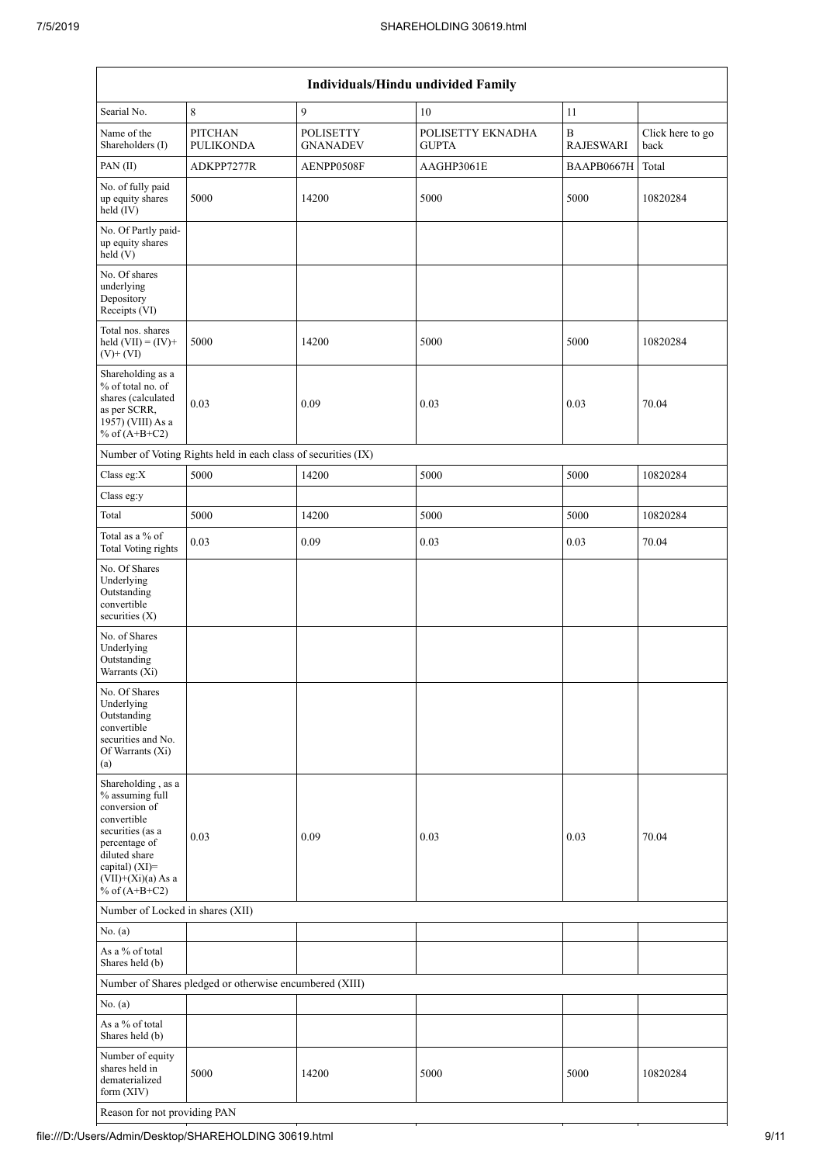| Individuals/Hindu undivided Family                                                                                                                                                       |                                                               |                                     |                                   |                       |                          |  |  |  |  |
|------------------------------------------------------------------------------------------------------------------------------------------------------------------------------------------|---------------------------------------------------------------|-------------------------------------|-----------------------------------|-----------------------|--------------------------|--|--|--|--|
| Searial No.                                                                                                                                                                              | 8                                                             | 9                                   | 10                                | 11                    |                          |  |  |  |  |
| Name of the<br>Shareholders (I)                                                                                                                                                          | <b>PITCHAN</b><br><b>PULIKONDA</b>                            | <b>POLISETTY</b><br><b>GNANADEV</b> | POLISETTY EKNADHA<br><b>GUPTA</b> | B<br><b>RAJESWARI</b> | Click here to go<br>back |  |  |  |  |
| PAN(II)                                                                                                                                                                                  | ADKPP7277R                                                    | AENPP0508F                          | AAGHP3061E                        | BAAPB0667H            | Total                    |  |  |  |  |
| No. of fully paid<br>up equity shares<br>held (IV)                                                                                                                                       | 5000                                                          | 14200                               | 5000                              | 5000                  | 10820284                 |  |  |  |  |
| No. Of Partly paid-<br>up equity shares<br>held(V)                                                                                                                                       |                                                               |                                     |                                   |                       |                          |  |  |  |  |
| No. Of shares<br>underlying<br>Depository<br>Receipts (VI)                                                                                                                               |                                                               |                                     |                                   |                       |                          |  |  |  |  |
| Total nos. shares<br>held $(VII) = (IV) +$<br>$(V)$ + $(VI)$                                                                                                                             | 5000                                                          | 14200                               | 5000                              | 5000                  | 10820284                 |  |  |  |  |
| Shareholding as a<br>% of total no. of<br>shares (calculated<br>as per SCRR,<br>1957) (VIII) As a<br>% of $(A+B+C2)$                                                                     | 0.03                                                          | 0.09                                | 0.03                              | 0.03                  | 70.04                    |  |  |  |  |
|                                                                                                                                                                                          | Number of Voting Rights held in each class of securities (IX) |                                     |                                   |                       |                          |  |  |  |  |
| Class eg: $X$                                                                                                                                                                            | 5000                                                          | 14200                               | 5000                              | 5000                  | 10820284                 |  |  |  |  |
| Class eg:y                                                                                                                                                                               |                                                               |                                     |                                   |                       |                          |  |  |  |  |
| Total                                                                                                                                                                                    | 5000                                                          | 14200                               | 5000                              | 5000                  | 10820284                 |  |  |  |  |
| Total as a % of<br><b>Total Voting rights</b>                                                                                                                                            | 0.03                                                          | 0.09                                | 0.03                              | 0.03                  | 70.04                    |  |  |  |  |
| No. Of Shares<br>Underlying<br>Outstanding<br>convertible<br>securities $(X)$                                                                                                            |                                                               |                                     |                                   |                       |                          |  |  |  |  |
| No. of Shares<br>Underlying<br>Outstanding<br>Warrants (Xi)                                                                                                                              |                                                               |                                     |                                   |                       |                          |  |  |  |  |
| No. Of Shares<br>Underlying<br>Outstanding<br>convertible<br>securities and No.<br>Of Warrants (Xi)<br>(a)                                                                               |                                                               |                                     |                                   |                       |                          |  |  |  |  |
| Shareholding, as a<br>% assuming full<br>conversion of<br>convertible<br>securities (as a<br>percentage of<br>diluted share<br>capital) (XI)=<br>$(VII)+(Xi)(a)$ As a<br>% of $(A+B+C2)$ | 0.03                                                          | 0.09                                | 0.03                              | 0.03                  | 70.04                    |  |  |  |  |
| Number of Locked in shares (XII)                                                                                                                                                         |                                                               |                                     |                                   |                       |                          |  |  |  |  |
| No. (a)                                                                                                                                                                                  |                                                               |                                     |                                   |                       |                          |  |  |  |  |
| As a % of total<br>Shares held (b)                                                                                                                                                       |                                                               |                                     |                                   |                       |                          |  |  |  |  |
|                                                                                                                                                                                          | Number of Shares pledged or otherwise encumbered (XIII)       |                                     |                                   |                       |                          |  |  |  |  |
| No. (a)                                                                                                                                                                                  |                                                               |                                     |                                   |                       |                          |  |  |  |  |
| As a % of total<br>Shares held (b)                                                                                                                                                       |                                                               |                                     |                                   |                       |                          |  |  |  |  |
| Number of equity<br>shares held in<br>dematerialized<br>form (XIV)                                                                                                                       | 5000                                                          | 14200                               | 5000                              | 5000                  | 10820284                 |  |  |  |  |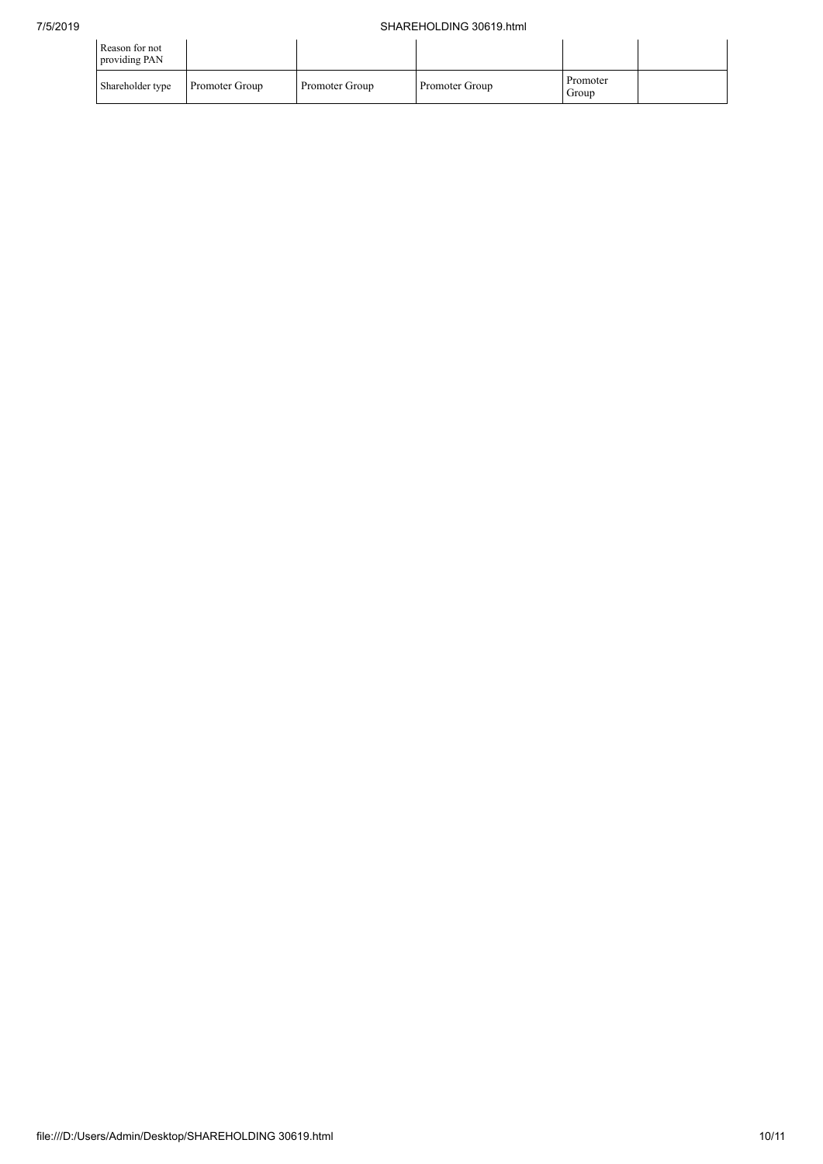| Reason for not<br>providing PAN |                |                |                |                   |  |
|---------------------------------|----------------|----------------|----------------|-------------------|--|
| Shareholder type                | Promoter Group | Promoter Group | Promoter Group | Promoter<br>Group |  |